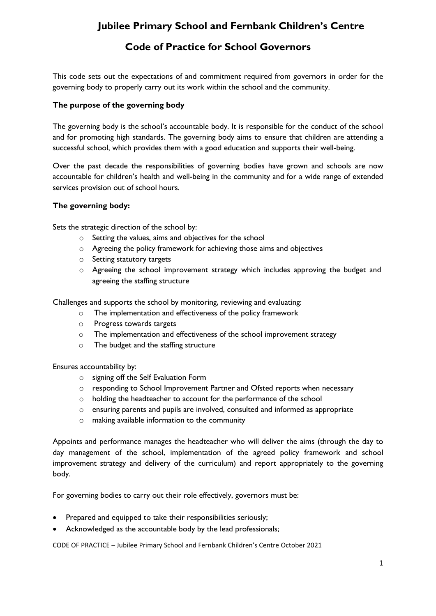# **Code of Practice for School Governors**

This code sets out the expectations of and commitment required from governors in order for the governing body to properly carry out its work within the school and the community.

### **The purpose of the governing body**

The governing body is the school's accountable body. It is responsible for the conduct of the school and for promoting high standards. The governing body aims to ensure that children are attending a successful school, which provides them with a good education and supports their well-being.

Over the past decade the responsibilities of governing bodies have grown and schools are now accountable for children's health and well-being in the community and for a wide range of extended services provision out of school hours.

#### **The governing body:**

Sets the strategic direction of the school by:

- o Setting the values, aims and objectives for the school
- o Agreeing the policy framework for achieving those aims and objectives
- o Setting statutory targets
- o Agreeing the school improvement strategy which includes approving the budget and agreeing the staffing structure

Challenges and supports the school by monitoring, reviewing and evaluating:

- o The implementation and effectiveness of the policy framework
- o Progress towards targets
- o The implementation and effectiveness of the school improvement strategy
- o The budget and the staffing structure

Ensures accountability by:

- o signing off the Self Evaluation Form
- o responding to School Improvement Partner and Ofsted reports when necessary
- o holding the headteacher to account for the performance of the school
- o ensuring parents and pupils are involved, consulted and informed as appropriate
- o making available information to the community

Appoints and performance manages the headteacher who will deliver the aims (through the day to day management of the school, implementation of the agreed policy framework and school improvement strategy and delivery of the curriculum) and report appropriately to the governing body.

For governing bodies to carry out their role effectively, governors must be:

- Prepared and equipped to take their responsibilities seriously;
- Acknowledged as the accountable body by the lead professionals;

CODE OF PRACTICE – Jubilee Primary School and Fernbank Children's Centre October 2021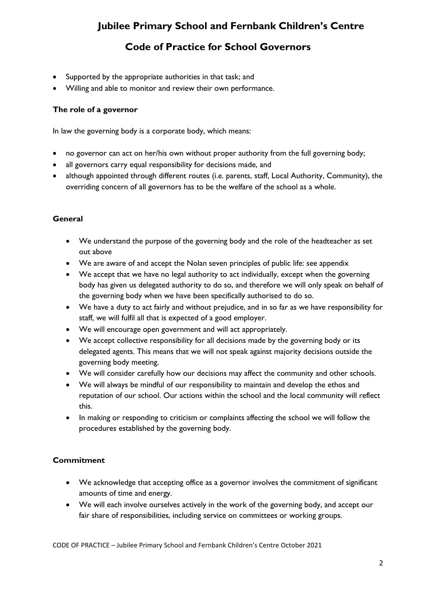# **Code of Practice for School Governors**

- Supported by the appropriate authorities in that task; and
- Willing and able to monitor and review their own performance.

### **The role of a governor**

In law the governing body is a corporate body, which means:

- no governor can act on her/his own without proper authority from the full governing body;
- all governors carry equal responsibility for decisions made, and
- although appointed through different routes (i.e. parents, staff, Local Authority, Community), the overriding concern of all governors has to be the welfare of the school as a whole.

### **General**

- We understand the purpose of the governing body and the role of the headteacher as set out above
- We are aware of and accept the Nolan seven principles of public life: see appendix
- We accept that we have no legal authority to act individually, except when the governing body has given us delegated authority to do so, and therefore we will only speak on behalf of the governing body when we have been specifically authorised to do so.
- We have a duty to act fairly and without prejudice, and in so far as we have responsibility for staff, we will fulfil all that is expected of a good employer.
- We will encourage open government and will act appropriately.
- We accept collective responsibility for all decisions made by the governing body or its delegated agents. This means that we will not speak against majority decisions outside the governing body meeting.
- We will consider carefully how our decisions may affect the community and other schools.
- We will always be mindful of our responsibility to maintain and develop the ethos and reputation of our school. Our actions within the school and the local community will reflect this.
- In making or responding to criticism or complaints affecting the school we will follow the procedures established by the governing body.

### **Commitment**

- We acknowledge that accepting office as a governor involves the commitment of significant amounts of time and energy.
- We will each involve ourselves actively in the work of the governing body, and accept our fair share of responsibilities, including service on committees or working groups.

CODE OF PRACTICE – Jubilee Primary School and Fernbank Children's Centre October 2021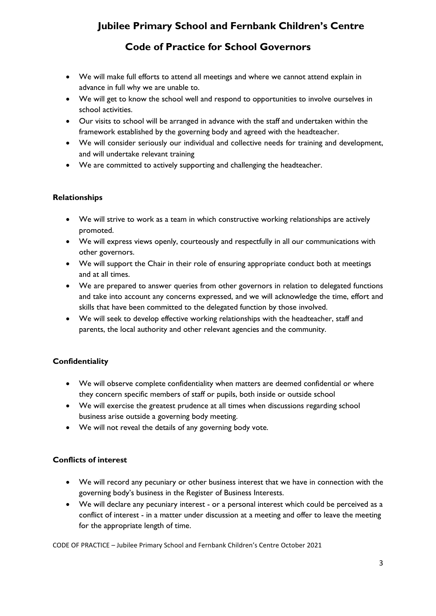**Code of Practice for School Governors**

- We will make full efforts to attend all meetings and where we cannot attend explain in advance in full why we are unable to.
- We will get to know the school well and respond to opportunities to involve ourselves in school activities.
- Our visits to school will be arranged in advance with the staff and undertaken within the framework established by the governing body and agreed with the headteacher.
- We will consider seriously our individual and collective needs for training and development, and will undertake relevant training
- We are committed to actively supporting and challenging the headteacher.

### **Relationships**

- We will strive to work as a team in which constructive working relationships are actively promoted.
- We will express views openly, courteously and respectfully in all our communications with other governors.
- We will support the Chair in their role of ensuring appropriate conduct both at meetings and at all times.
- We are prepared to answer queries from other governors in relation to delegated functions and take into account any concerns expressed, and we will acknowledge the time, effort and skills that have been committed to the delegated function by those involved.
- We will seek to develop effective working relationships with the headteacher, staff and parents, the local authority and other relevant agencies and the community.

## **Confidentiality**

- We will observe complete confidentiality when matters are deemed confidential or where they concern specific members of staff or pupils, both inside or outside school
- We will exercise the greatest prudence at all times when discussions regarding school business arise outside a governing body meeting.
- We will not reveal the details of any governing body vote.

### **Conflicts of interest**

- We will record any pecuniary or other business interest that we have in connection with the governing body's business in the Register of Business Interests.
- We will declare any pecuniary interest or a personal interest which could be perceived as a conflict of interest - in a matter under discussion at a meeting and offer to leave the meeting for the appropriate length of time.

CODE OF PRACTICE – Jubilee Primary School and Fernbank Children's Centre October 2021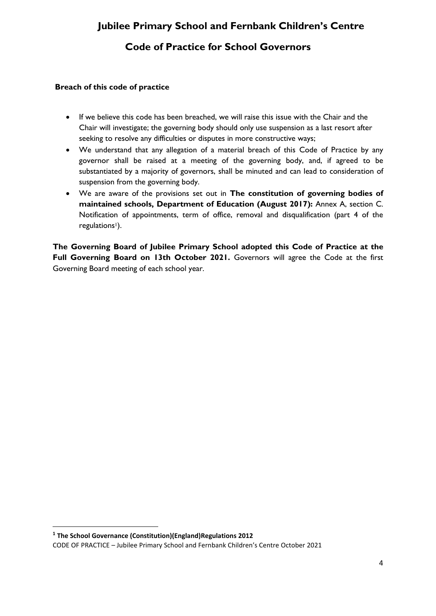# **Code of Practice for School Governors**

### **Breach of this code of practice**

- If we believe this code has been breached, we will raise this issue with the Chair and the Chair will investigate; the governing body should only use suspension as a last resort after seeking to resolve any difficulties or disputes in more constructive ways;
- We understand that any allegation of a material breach of this Code of Practice by any governor shall be raised at a meeting of the governing body, and, if agreed to be substantiated by a majority of governors, shall be minuted and can lead to consideration of suspension from the governing body.
- We are aware of the provisions set out in **The constitution of governing bodies of maintained schools, Department of Education (August 2017):** Annex A, section C. Notification of appointments, term of office, removal and disqualification (part 4 of the regulations<sup>1</sup>).

**The Governing Board of Jubilee Primary School adopted this Code of Practice at the**  Full Governing Board on 13th October 2021. Governors will agree the Code at the first Governing Board meeting of each school year.

CODE OF PRACTICE – Jubilee Primary School and Fernbank Children's Centre October 2021 **1 The School Governance (Constitution)(England)Regulations 2012**

1